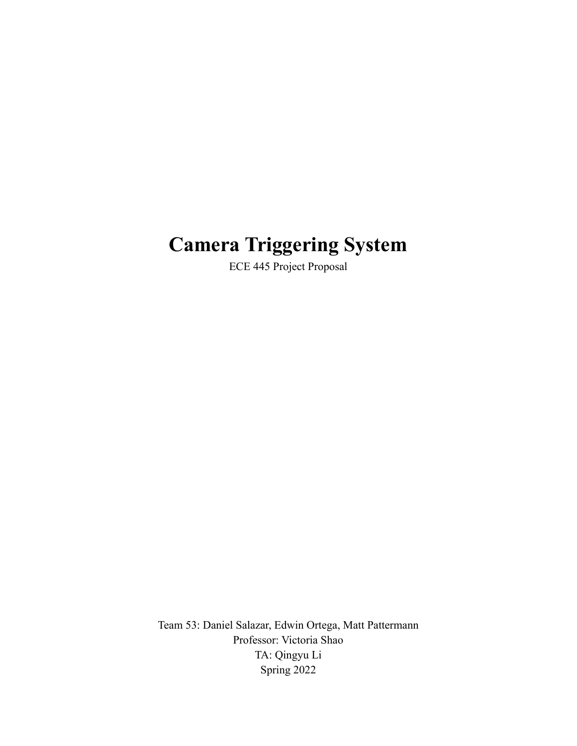# **Camera Triggering System**

ECE 445 Project Proposal

Team 53: Daniel Salazar, Edwin Ortega, Matt Pattermann Professor: Victoria Shao TA: Qingyu Li Spring 2022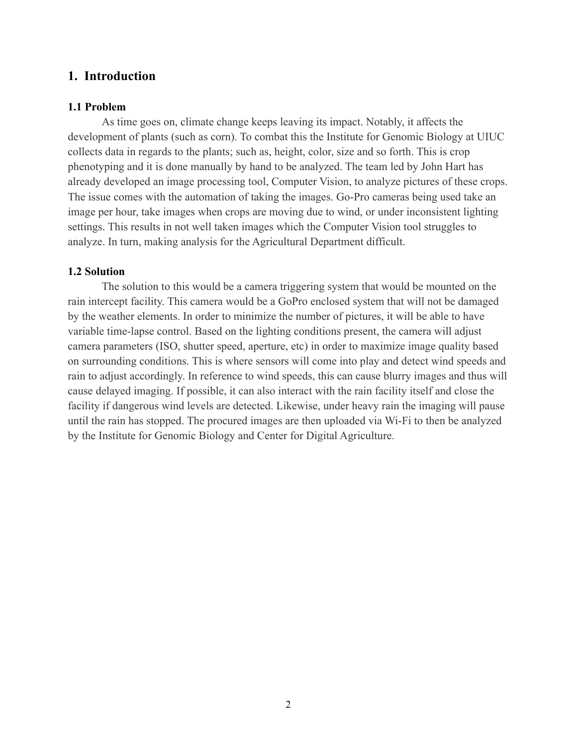# **1. Introduction**

#### **1.1 Problem**

As time goes on, climate change keeps leaving its impact. Notably, it affects the development of plants (such as corn). To combat this the Institute for Genomic Biology at UIUC collects data in regards to the plants; such as, height, color, size and so forth. This is crop phenotyping and it is done manually by hand to be analyzed. The team led by John Hart has already developed an image processing tool, Computer Vision, to analyze pictures of these crops. The issue comes with the automation of taking the images. Go-Pro cameras being used take an image per hour, take images when crops are moving due to wind, or under inconsistent lighting settings. This results in not well taken images which the Computer Vision tool struggles to analyze. In turn, making analysis for the Agricultural Department difficult.

#### **1.2 Solution**

The solution to this would be a camera triggering system that would be mounted on the rain intercept facility. This camera would be a GoPro enclosed system that will not be damaged by the weather elements. In order to minimize the number of pictures, it will be able to have variable time-lapse control. Based on the lighting conditions present, the camera will adjust camera parameters (ISO, shutter speed, aperture, etc) in order to maximize image quality based on surrounding conditions. This is where sensors will come into play and detect wind speeds and rain to adjust accordingly. In reference to wind speeds, this can cause blurry images and thus will cause delayed imaging. If possible, it can also interact with the rain facility itself and close the facility if dangerous wind levels are detected. Likewise, under heavy rain the imaging will pause until the rain has stopped. The procured images are then uploaded via Wi-Fi to then be analyzed by the Institute for Genomic Biology and Center for Digital Agriculture.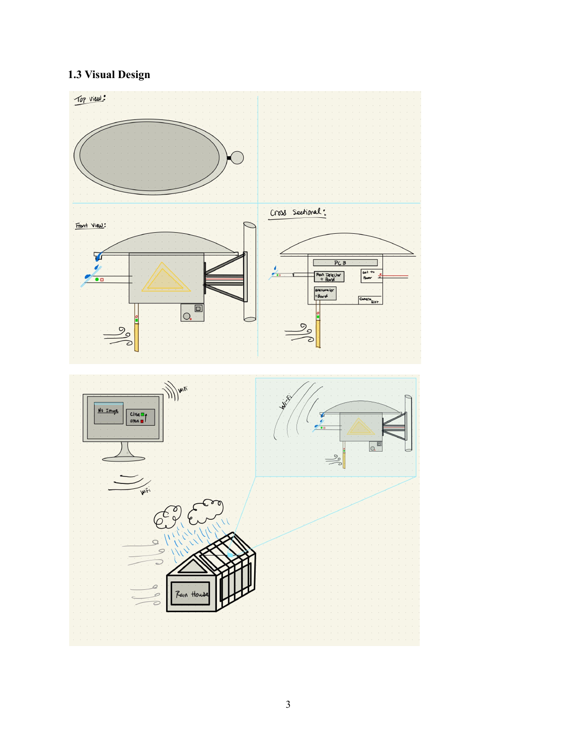# **1.3 Visual Design**

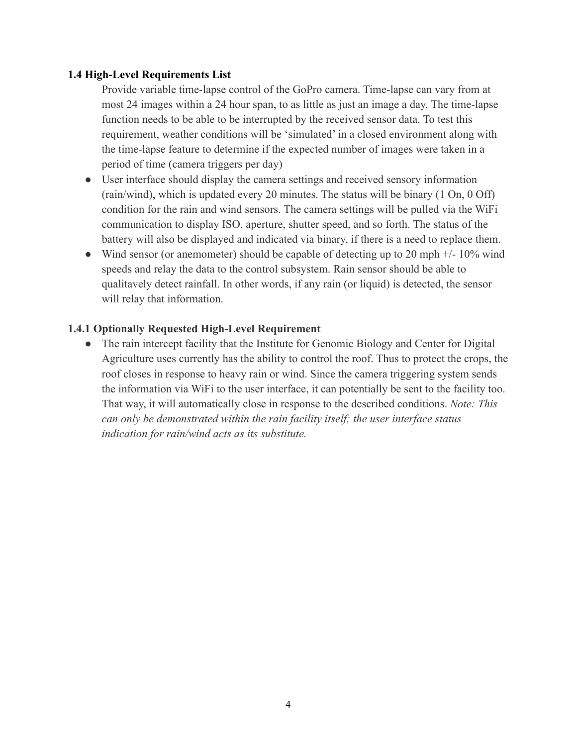# **1.4 High-Level Requirements List**

Provide variable time-lapse control of the GoPro camera. Time-lapse can vary from at most 24 images within a 24 hour span, to as little as just an image a day. The time-lapse function needs to be able to be interrupted by the received sensor data. To test this requirement, weather conditions will be 'simulated' in a closed environment along with the time-lapse feature to determine if the expected number of images were taken in a period of time (camera triggers per day)

- User interface should display the camera settings and received sensory information (rain/wind), which is updated every 20 minutes. The status will be binary (1 On, 0 Off) condition for the rain and wind sensors. The camera settings will be pulled via the WiFi communication to display ISO, aperture, shutter speed, and so forth. The status of the battery will also be displayed and indicated via binary, if there is a need to replace them.
- Wind sensor (or anemometer) should be capable of detecting up to 20 mph  $+/- 10\%$  wind speeds and relay the data to the control subsystem. Rain sensor should be able to qualitavely detect rainfall. In other words, if any rain (or liquid) is detected, the sensor will relay that information.

#### **1.4.1 Optionally Requested High-Level Requirement**

• The rain intercept facility that the Institute for Genomic Biology and Center for Digital Agriculture uses currently has the ability to control the roof. Thus to protect the crops, the roof closes in response to heavy rain or wind. Since the camera triggering system sends the information via WiFi to the user interface, it can potentially be sent to the facility too. That way, it will automatically close in response to the described conditions. *Note: This can only be demonstrated within the rain facility itself; the user interface status indication for rain/wind acts as its substitute.*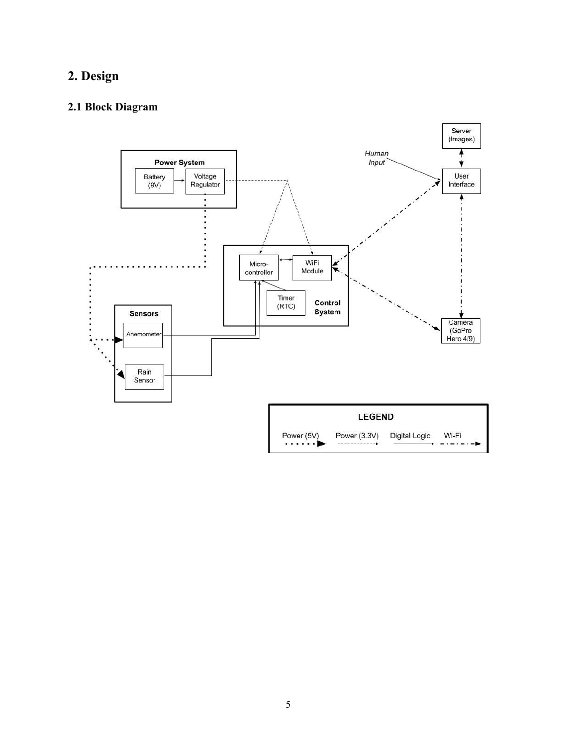# **2. Design**

# **2.1 Block Diagram**

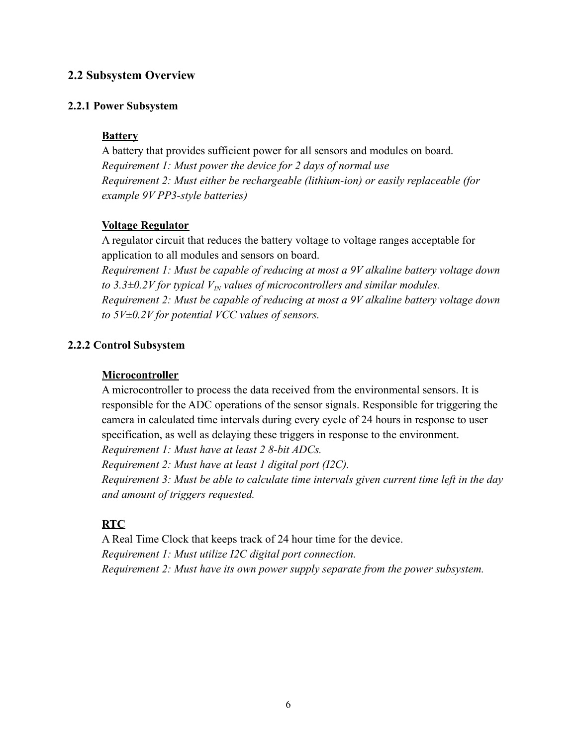# **2.2 Subsystem Overview**

#### **2.2.1 Power Subsystem**

# **Battery**

A battery that provides sufficient power for all sensors and modules on board. *Requirement 1: Must power the device for 2 days of normal use Requirement 2: Must either be rechargeable (lithium-ion) or easily replaceable (for example 9V PP3-style batteries)*

# **Voltage Regulator**

A regulator circuit that reduces the battery voltage to voltage ranges acceptable for application to all modules and sensors on board.

*Requirement 1: Must be capable of reducing at most a 9V alkaline battery voltage down to 3.3* $\pm$ 0.2*V* for typical  $V<sub>IN</sub>$  values of microcontrollers and similar modules. *Requirement 2: Must be capable of reducing at most a 9V alkaline battery voltage down to 5V±0.2V for potential VCC values of sensors.*

# **2.2.2 Control Subsystem**

# **Microcontroller**

A microcontroller to process the data received from the environmental sensors. It is responsible for the ADC operations of the sensor signals. Responsible for triggering the camera in calculated time intervals during every cycle of 24 hours in response to user specification, as well as delaying these triggers in response to the environment.

*Requirement 1: Must have at least 2 8-bit ADCs.*

*Requirement 2: Must have at least 1 digital port (I2C).*

*Requirement 3: Must be able to calculate time intervals given current time left in the day and amount of triggers requested.*

# **RTC**

A Real Time Clock that keeps track of 24 hour time for the device. *Requirement 1: Must utilize I2C digital port connection. Requirement 2: Must have its own power supply separate from the power subsystem.*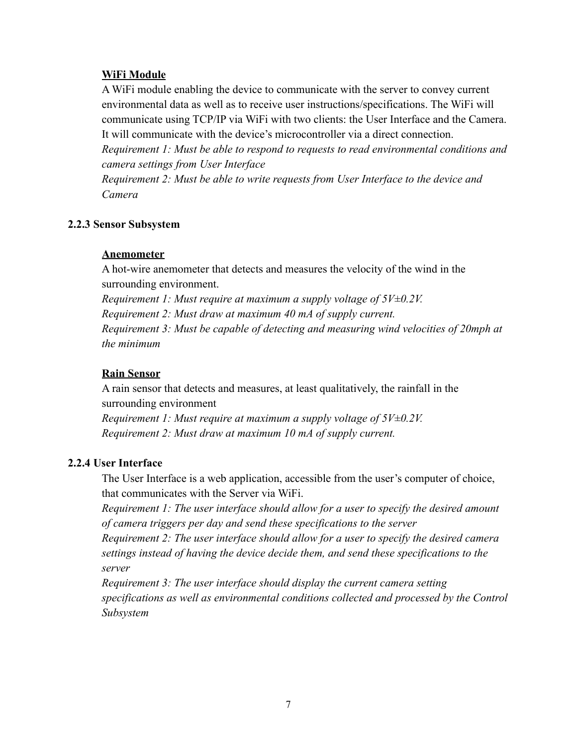# **WiFi Module**

A WiFi module enabling the device to communicate with the server to convey current environmental data as well as to receive user instructions/specifications. The WiFi will communicate using TCP/IP via WiFi with two clients: the User Interface and the Camera. It will communicate with the device's microcontroller via a direct connection.

*Requirement 1: Must be able to respond to requests to read environmental conditions and camera settings from User Interface*

*Requirement 2: Must be able to write requests from User Interface to the device and Camera*

#### **2.2.3 Sensor Subsystem**

#### **Anemometer**

A hot-wire anemometer that detects and measures the velocity of the wind in the surrounding environment.

*Requirement 1: Must require at maximum a supply voltage of 5V±0.2V. Requirement 2: Must draw at maximum 40 mA of supply current. Requirement 3: Must be capable of detecting and measuring wind velocities of 20mph at the minimum*

## **Rain Sensor**

A rain sensor that detects and measures, at least qualitatively, the rainfall in the surrounding environment *Requirement 1: Must require at maximum a supply voltage of 5V±0.2V.*

*Requirement 2: Must draw at maximum 10 mA of supply current.*

#### **2.2.4 User Interface**

The User Interface is a web application, accessible from the user's computer of choice, that communicates with the Server via WiFi.

*Requirement 1: The user interface should allow for a user to specify the desired amount of camera triggers per day and send these specifications to the server*

*Requirement 2: The user interface should allow for a user to specify the desired camera settings instead of having the device decide them, and send these specifications to the server*

*Requirement 3: The user interface should display the current camera setting specifications as well as environmental conditions collected and processed by the Control Subsystem*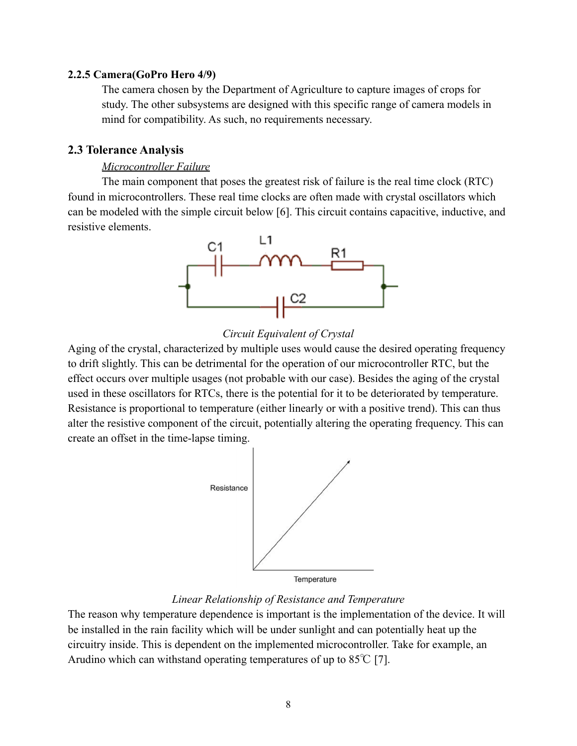#### **2.2.5 Camera(GoPro Hero 4/9)**

The camera chosen by the Department of Agriculture to capture images of crops for study. The other subsystems are designed with this specific range of camera models in mind for compatibility. As such, no requirements necessary.

# **2.3 Tolerance Analysis**

## *Microcontroller Failure*

The main component that poses the greatest risk of failure is the real time clock (RTC) found in microcontrollers. These real time clocks are often made with crystal oscillators which can be modeled with the simple circuit below [6]. This circuit contains capacitive, inductive, and resistive elements.



# *Circuit Equivalent of Crystal*

Aging of the crystal, characterized by multiple uses would cause the desired operating frequency to drift slightly. This can be detrimental for the operation of our microcontroller RTC, but the effect occurs over multiple usages (not probable with our case). Besides the aging of the crystal used in these oscillators for RTCs, there is the potential for it to be deteriorated by temperature. Resistance is proportional to temperature (either linearly or with a positive trend). This can thus alter the resistive component of the circuit, potentially altering the operating frequency. This can create an offset in the time-lapse timing.



# *Linear Relationship of Resistance and Temperature*

The reason why temperature dependence is important is the implementation of the device. It will be installed in the rain facility which will be under sunlight and can potentially heat up the circuitry inside. This is dependent on the implemented microcontroller. Take for example, an Arudino which can withstand operating temperatures of up to  $85^{\circ}$  [7].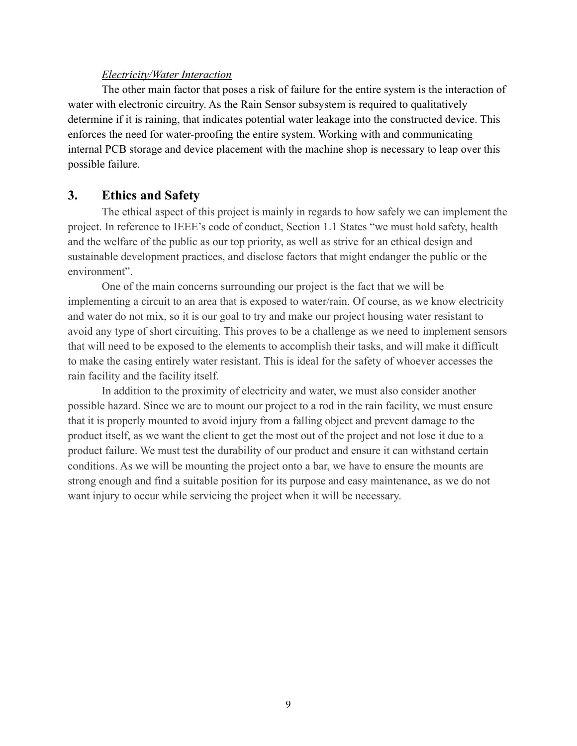#### *Electricity/Water Interaction*

The other main factor that poses a risk of failure for the entire system is the interaction of water with electronic circuitry. As the Rain Sensor subsystem is required to qualitatively determine if it is raining, that indicates potential water leakage into the constructed device. This enforces the need for water-proofing the entire system. Working with and communicating internal PCB storage and device placement with the machine shop is necessary to leap over this possible failure.

# **3. Ethics and Safety**

The ethical aspect of this project is mainly in regards to how safely we can implement the project. In reference to IEEE's code of conduct, Section 1.1 States "we must hold safety, health and the welfare of the public as our top priority, as well as strive for an ethical design and sustainable development practices, and disclose factors that might endanger the public or the environment".

One of the main concerns surrounding our project is the fact that we will be implementing a circuit to an area that is exposed to water/rain. Of course, as we know electricity and water do not mix, so it is our goal to try and make our project housing water resistant to avoid any type of short circuiting. This proves to be a challenge as we need to implement sensors that will need to be exposed to the elements to accomplish their tasks, and will make it difficult to make the casing entirely water resistant. This is ideal for the safety of whoever accesses the rain facility and the facility itself.

In addition to the proximity of electricity and water, we must also consider another possible hazard. Since we are to mount our project to a rod in the rain facility, we must ensure that it is properly mounted to avoid injury from a falling object and prevent damage to the product itself, as we want the client to get the most out of the project and not lose it due to a product failure. We must test the durability of our product and ensure it can withstand certain conditions. As we will be mounting the project onto a bar, we have to ensure the mounts are strong enough and find a suitable position for its purpose and easy maintenance, as we do not want injury to occur while servicing the project when it will be necessary.